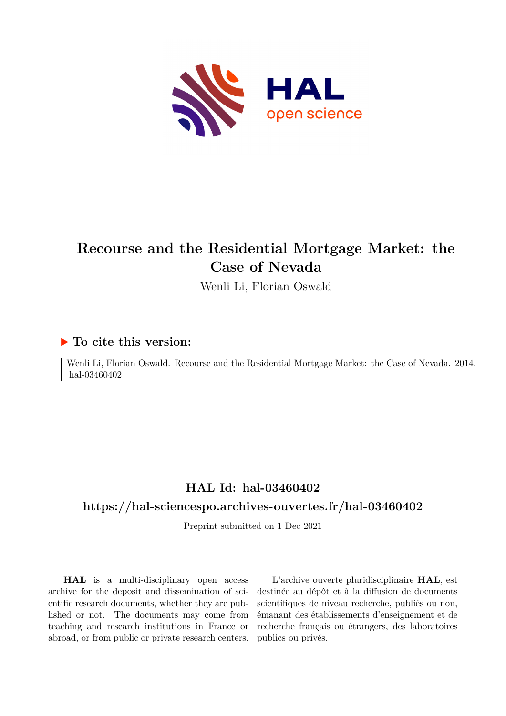

# **Recourse and the Residential Mortgage Market: the Case of Nevada**

Wenli Li, Florian Oswald

## **To cite this version:**

Wenli Li, Florian Oswald. Recourse and the Residential Mortgage Market: the Case of Nevada. 2014. hal-03460402

# **HAL Id: hal-03460402**

## **<https://hal-sciencespo.archives-ouvertes.fr/hal-03460402>**

Preprint submitted on 1 Dec 2021

**HAL** is a multi-disciplinary open access archive for the deposit and dissemination of scientific research documents, whether they are published or not. The documents may come from teaching and research institutions in France or abroad, or from public or private research centers.

L'archive ouverte pluridisciplinaire **HAL**, est destinée au dépôt et à la diffusion de documents scientifiques de niveau recherche, publiés ou non, émanant des établissements d'enseignement et de recherche français ou étrangers, des laboratoires publics ou privés.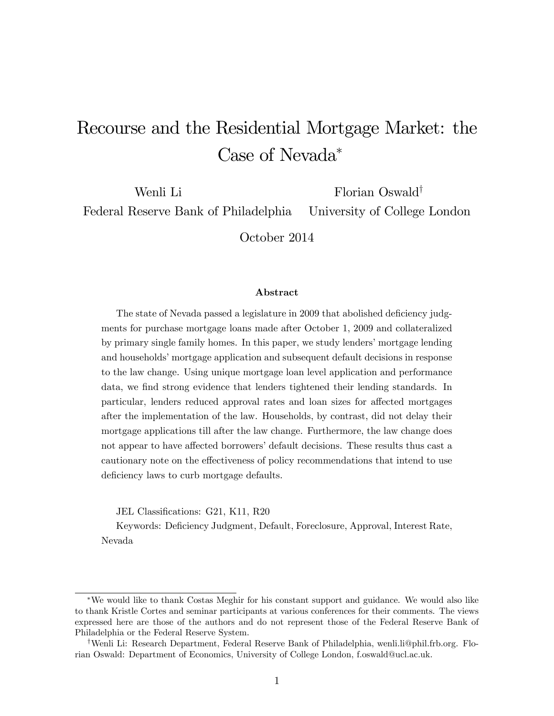# Recourse and the Residential Mortgage Market: the Case of Nevada

Wenli Li Florian Oswald<sup>†</sup>

Federal Reserve Bank of Philadelphia University of College London

October 2014

#### Abstract

The state of Nevada passed a legislature in 2009 that abolished deficiency judgments for purchase mortgage loans made after October 1, 2009 and collateralized by primary single family homes. In this paper, we study lenders' mortgage lending and households' mortgage application and subsequent default decisions in response to the law change. Using unique mortgage loan level application and performance data, we find strong evidence that lenders tightened their lending standards. In particular, lenders reduced approval rates and loan sizes for affected mortgages after the implementation of the law. Households, by contrast, did not delay their mortgage applications till after the law change. Furthermore, the law change does not appear to have affected borrowers' default decisions. These results thus cast a cautionary note on the effectiveness of policy recommendations that intend to use deficiency laws to curb mortgage defaults.

JEL Classifications: G21, K11, R20

Keywords: DeÖciency Judgment, Default, Foreclosure, Approval, Interest Rate, Nevada

We would like to thank Costas Meghir for his constant support and guidance. We would also like to thank Kristle Cortes and seminar participants at various conferences for their comments. The views expressed here are those of the authors and do not represent those of the Federal Reserve Bank of Philadelphia or the Federal Reserve System.

yWenli Li: Research Department, Federal Reserve Bank of Philadelphia, wenli.li@phil.frb.org. Florian Oswald: Department of Economics, University of College London, f.oswald@ucl.ac.uk.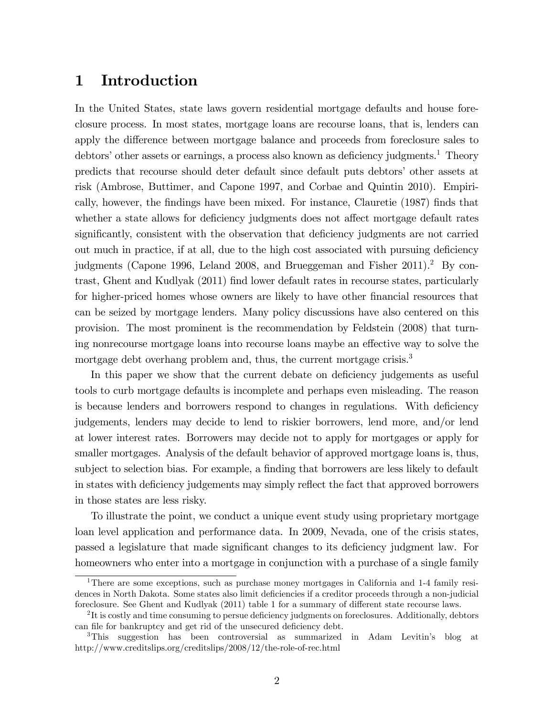# 1 Introduction

In the United States, state laws govern residential mortgage defaults and house foreclosure process. In most states, mortgage loans are recourse loans, that is, lenders can apply the difference between mortgage balance and proceeds from foreclosure sales to debtors' other assets or earnings, a process also known as deficiency judgments.<sup>1</sup> Theory predicts that recourse should deter default since default puts debtors' other assets at risk (Ambrose, Buttimer, and Capone 1997, and Corbae and Quintin 2010). Empirically, however, the Öndings have been mixed. For instance, Clauretie (1987) Önds that whether a state allows for deficiency judgments does not affect mortgage default rates significantly, consistent with the observation that deficiency judgments are not carried out much in practice, if at all, due to the high cost associated with pursuing deficiency judgments (Capone 1996, Leland 2008, and Brueggeman and Fisher  $2011$ ).<sup>2</sup> By contrast, Ghent and Kudlyak (2011) find lower default rates in recourse states, particularly for higher-priced homes whose owners are likely to have other financial resources that can be seized by mortgage lenders. Many policy discussions have also centered on this provision. The most prominent is the recommendation by Feldstein (2008) that turning nonrecourse mortgage loans into recourse loans maybe an effective way to solve the mortgage debt overhang problem and, thus, the current mortgage crisis.<sup>3</sup>

In this paper we show that the current debate on deficiency judgements as useful tools to curb mortgage defaults is incomplete and perhaps even misleading. The reason is because lenders and borrowers respond to changes in regulations. With deficiency judgements, lenders may decide to lend to riskier borrowers, lend more, and/or lend at lower interest rates. Borrowers may decide not to apply for mortgages or apply for smaller mortgages. Analysis of the default behavior of approved mortgage loans is, thus, subject to selection bias. For example, a finding that borrowers are less likely to default in states with deficiency judgements may simply reflect the fact that approved borrowers in those states are less risky.

To illustrate the point, we conduct a unique event study using proprietary mortgage loan level application and performance data. In 2009, Nevada, one of the crisis states, passed a legislature that made significant changes to its deficiency judgment law. For homeowners who enter into a mortgage in conjunction with a purchase of a single family

<sup>&</sup>lt;sup>1</sup>There are some exceptions, such as purchase money mortgages in California and 1-4 family residences in North Dakota. Some states also limit deficiencies if a creditor proceeds through a non-judicial foreclosure. See Ghent and Kudlyak (2011) table 1 for a summary of different state recourse laws.

 $2$ It is costly and time consuming to persue deficiency judgments on foreclosures. Additionally, debtors can file for bankruptcy and get rid of the unsecured deficiency debt.

<sup>&</sup>lt;sup>3</sup>This suggestion has been controversial as summarized in Adam Levitin's blog at http://www.creditslips.org/creditslips/2008/12/the-role-of-rec.html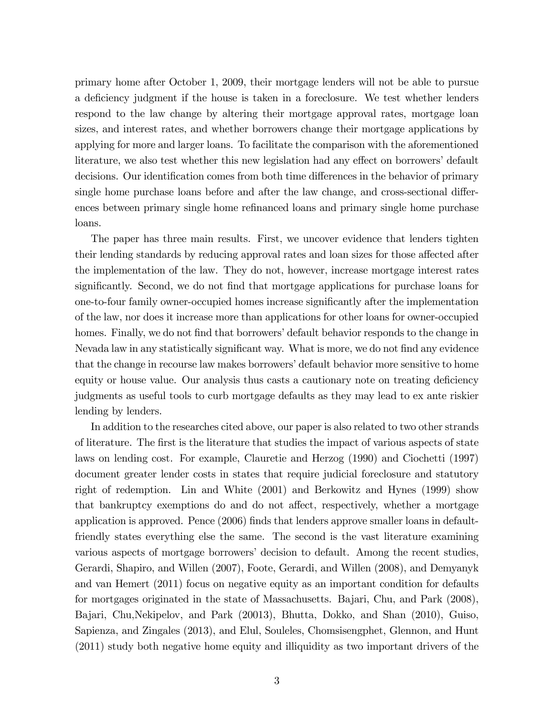primary home after October 1, 2009, their mortgage lenders will not be able to pursue a deficiency judgment if the house is taken in a foreclosure. We test whether lenders respond to the law change by altering their mortgage approval rates, mortgage loan sizes, and interest rates, and whether borrowers change their mortgage applications by applying for more and larger loans. To facilitate the comparison with the aforementioned literature, we also test whether this new legislation had any effect on borrowers' default decisions. Our identification comes from both time differences in the behavior of primary single home purchase loans before and after the law change, and cross-sectional differences between primary single home refinanced loans and primary single home purchase loans.

The paper has three main results. First, we uncover evidence that lenders tighten their lending standards by reducing approval rates and loan sizes for those affected after the implementation of the law. They do not, however, increase mortgage interest rates significantly. Second, we do not find that mortgage applications for purchase loans for one-to-four family owner-occupied homes increase significantly after the implementation of the law, nor does it increase more than applications for other loans for owner-occupied homes. Finally, we do not find that borrowers' default behavior responds to the change in Nevada law in any statistically significant way. What is more, we do not find any evidence that the change in recourse law makes borrowers' default behavior more sensitive to home equity or house value. Our analysis thus casts a cautionary note on treating deficiency judgments as useful tools to curb mortgage defaults as they may lead to ex ante riskier lending by lenders.

In addition to the researches cited above, our paper is also related to two other strands of literature. The Örst is the literature that studies the impact of various aspects of state laws on lending cost. For example, Clauretie and Herzog (1990) and Ciochetti (1997) document greater lender costs in states that require judicial foreclosure and statutory right of redemption. Lin and White (2001) and Berkowitz and Hynes (1999) show that bankruptcy exemptions do and do not affect, respectively, whether a mortgage application is approved. Pence (2006) finds that lenders approve smaller loans in defaultfriendly states everything else the same. The second is the vast literature examining various aspects of mortgage borrowers' decision to default. Among the recent studies, Gerardi, Shapiro, and Willen (2007), Foote, Gerardi, and Willen (2008), and Demyanyk and van Hemert (2011) focus on negative equity as an important condition for defaults for mortgages originated in the state of Massachusetts. Bajari, Chu, and Park (2008), Bajari, Chu,Nekipelov, and Park (20013), Bhutta, Dokko, and Shan (2010), Guiso, Sapienza, and Zingales (2013), and Elul, Souleles, Chomsisengphet, Glennon, and Hunt (2011) study both negative home equity and illiquidity as two important drivers of the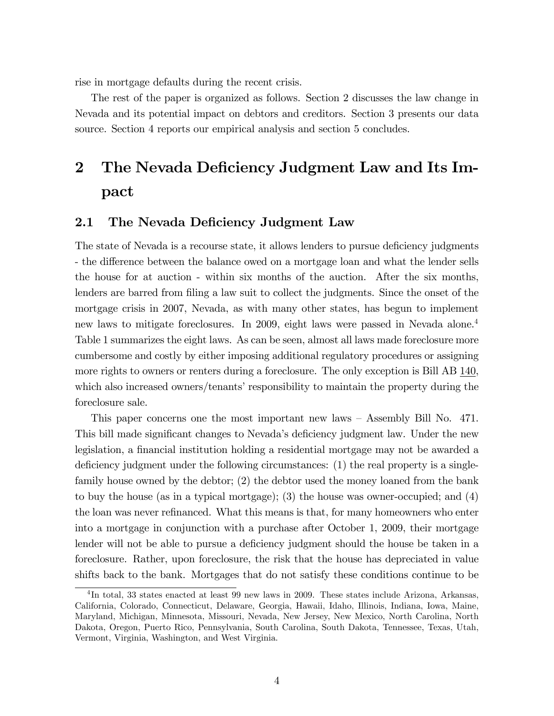rise in mortgage defaults during the recent crisis.

The rest of the paper is organized as follows. Section 2 discusses the law change in Nevada and its potential impact on debtors and creditors. Section 3 presents our data source. Section 4 reports our empirical analysis and section 5 concludes.

# 2 The Nevada Deficiency Judgment Law and Its Impact

### 2.1 The Nevada Deficiency Judgment Law

The state of Nevada is a recourse state, it allows lenders to pursue deficiency judgments - the difference between the balance owed on a mortgage loan and what the lender sells the house for at auction - within six months of the auction. After the six months, lenders are barred from filing a law suit to collect the judgments. Since the onset of the mortgage crisis in 2007, Nevada, as with many other states, has begun to implement new laws to mitigate foreclosures. In 2009, eight laws were passed in Nevada alone.<sup>4</sup> Table 1 summarizes the eight laws. As can be seen, almost all laws made foreclosure more cumbersome and costly by either imposing additional regulatory procedures or assigning more rights to owners or renters during a foreclosure. The only exception is Bill AB 140, which also increased owners/tenants' responsibility to maintain the property during the foreclosure sale.

This paper concerns one the most important new laws  $-$  Assembly Bill No. 471. This bill made significant changes to Nevada's deficiency judgment law. Under the new legislation, a financial institution holding a residential mortgage may not be awarded a deficiency judgment under the following circumstances:  $(1)$  the real property is a singlefamily house owned by the debtor; (2) the debtor used the money loaned from the bank to buy the house (as in a typical mortgage); (3) the house was owner-occupied; and (4) the loan was never refinanced. What this means is that, for many homeowners who enter into a mortgage in conjunction with a purchase after October 1, 2009, their mortgage lender will not be able to pursue a deficiency judgment should the house be taken in a foreclosure. Rather, upon foreclosure, the risk that the house has depreciated in value shifts back to the bank. Mortgages that do not satisfy these conditions continue to be

<sup>&</sup>lt;sup>4</sup>In total, 33 states enacted at least 99 new laws in 2009. These states include Arizona, Arkansas, California, Colorado, Connecticut, Delaware, Georgia, Hawaii, Idaho, Illinois, Indiana, Iowa, Maine, Maryland, Michigan, Minnesota, Missouri, Nevada, New Jersey, New Mexico, North Carolina, North Dakota, Oregon, Puerto Rico, Pennsylvania, South Carolina, South Dakota, Tennessee, Texas, Utah, Vermont, Virginia, Washington, and West Virginia.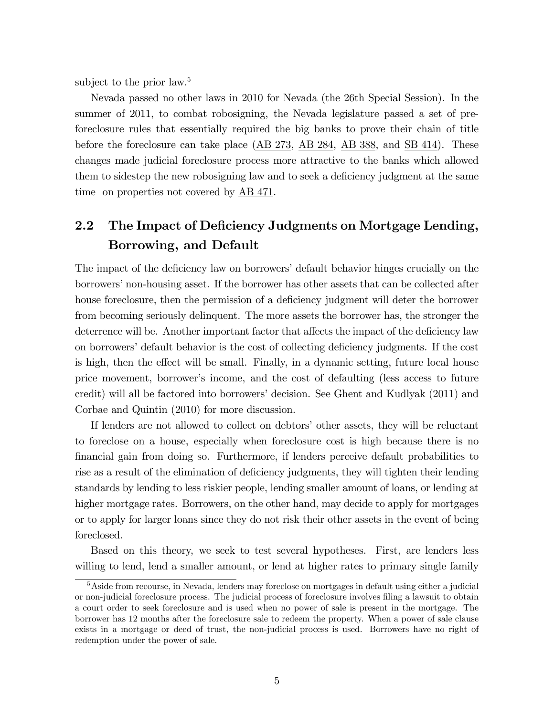subject to the prior law.<sup>5</sup>

Nevada passed no other laws in 2010 for Nevada (the 26th Special Session). In the summer of 2011, to combat robosigning, the Nevada legislature passed a set of preforeclosure rules that essentially required the big banks to prove their chain of title before the foreclosure can take place (AB 273, AB 284, AB 388, and SB 414). These changes made judicial foreclosure process more attractive to the banks which allowed them to sidestep the new robosigning law and to seek a deficiency judgment at the same time on properties not covered by AB 471.

# 2.2 The Impact of Deficiency Judgments on Mortgage Lending, Borrowing, and Default

The impact of the deficiency law on borrowers' default behavior hinges crucially on the borrowers' non-housing asset. If the borrower has other assets that can be collected after house foreclosure, then the permission of a deficiency judgment will deter the borrower from becoming seriously delinquent. The more assets the borrower has, the stronger the deterrence will be. Another important factor that affects the impact of the deficiency law on borrowers' default behavior is the cost of collecting deficiency judgments. If the cost is high, then the effect will be small. Finally, in a dynamic setting, future local house price movement, borrowerís income, and the cost of defaulting (less access to future credit) will all be factored into borrowers' decision. See Ghent and Kudlyak (2011) and Corbae and Quintin (2010) for more discussion.

If lenders are not allowed to collect on debtors' other assets, they will be reluctant to foreclose on a house, especially when foreclosure cost is high because there is no financial gain from doing so. Furthermore, if lenders perceive default probabilities to rise as a result of the elimination of deficiency judgments, they will tighten their lending standards by lending to less riskier people, lending smaller amount of loans, or lending at higher mortgage rates. Borrowers, on the other hand, may decide to apply for mortgages or to apply for larger loans since they do not risk their other assets in the event of being foreclosed.

Based on this theory, we seek to test several hypotheses. First, are lenders less willing to lend, lend a smaller amount, or lend at higher rates to primary single family

<sup>&</sup>lt;sup>5</sup>Aside from recourse, in Nevada, lenders may foreclose on mortgages in default using either a judicial or non-judicial foreclosure process. The judicial process of foreclosure involves filing a lawsuit to obtain a court order to seek foreclosure and is used when no power of sale is present in the mortgage. The borrower has 12 months after the foreclosure sale to redeem the property. When a power of sale clause exists in a mortgage or deed of trust, the non-judicial process is used. Borrowers have no right of redemption under the power of sale.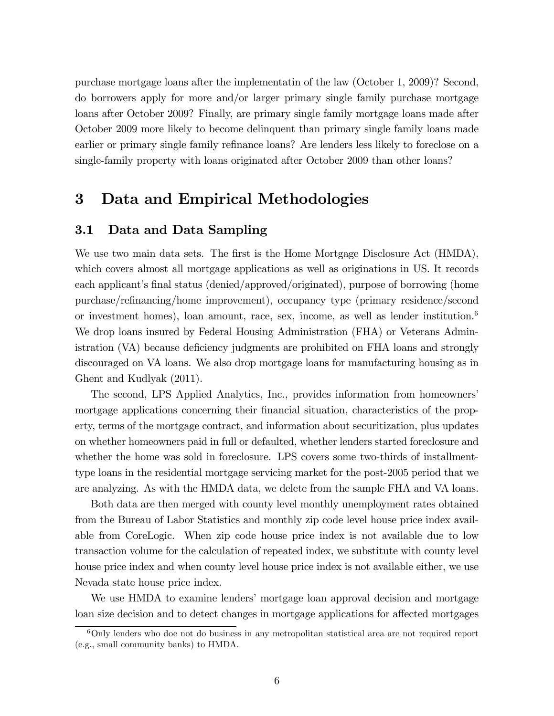purchase mortgage loans after the implementatin of the law (October 1, 2009)? Second, do borrowers apply for more and/or larger primary single family purchase mortgage loans after October 2009? Finally, are primary single family mortgage loans made after October 2009 more likely to become delinquent than primary single family loans made earlier or primary single family refinance loans? Are lenders less likely to foreclose on a single-family property with loans originated after October 2009 than other loans?

# 3 Data and Empirical Methodologies

### 3.1 Data and Data Sampling

We use two main data sets. The first is the Home Mortgage Disclosure Act (HMDA), which covers almost all mortgage applications as well as originations in US. It records each applicant's final status (denied/approved/originated), purpose of borrowing (home purchase/reÖnancing/home improvement), occupancy type (primary residence/second or investment homes), loan amount, race, sex, income, as well as lender institution.<sup>6</sup> We drop loans insured by Federal Housing Administration (FHA) or Veterans Administration (VA) because deficiency judgments are prohibited on FHA loans and strongly discouraged on VA loans. We also drop mortgage loans for manufacturing housing as in Ghent and Kudlyak (2011).

The second, LPS Applied Analytics, Inc., provides information from homeownersí mortgage applications concerning their financial situation, characteristics of the property, terms of the mortgage contract, and information about securitization, plus updates on whether homeowners paid in full or defaulted, whether lenders started foreclosure and whether the home was sold in foreclosure. LPS covers some two-thirds of installmenttype loans in the residential mortgage servicing market for the post-2005 period that we are analyzing. As with the HMDA data, we delete from the sample FHA and VA loans.

Both data are then merged with county level monthly unemployment rates obtained from the Bureau of Labor Statistics and monthly zip code level house price index available from CoreLogic. When zip code house price index is not available due to low transaction volume for the calculation of repeated index, we substitute with county level house price index and when county level house price index is not available either, we use Nevada state house price index.

We use HMDA to examine lenders' mortgage loan approval decision and mortgage loan size decision and to detect changes in mortgage applications for affected mortgages

<sup>6</sup>Only lenders who doe not do business in any metropolitan statistical area are not required report (e.g., small community banks) to HMDA.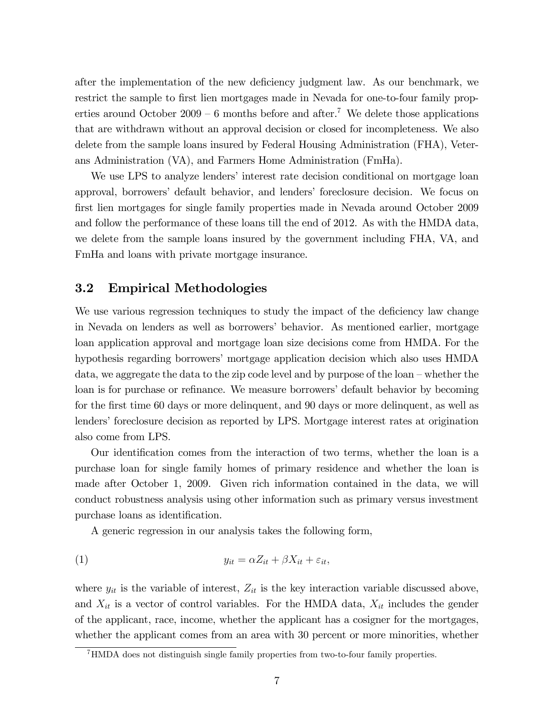after the implementation of the new deficiency judgment law. As our benchmark, we restrict the sample to first lien mortgages made in Nevada for one-to-four family properties around October  $2009 - 6$  months before and after.<sup>7</sup> We delete those applications that are withdrawn without an approval decision or closed for incompleteness. We also delete from the sample loans insured by Federal Housing Administration (FHA), Veterans Administration (VA), and Farmers Home Administration (FmHa).

We use LPS to analyze lenders' interest rate decision conditional on mortgage loan approval, borrowersí default behavior, and lendersí foreclosure decision. We focus on first lien mortgages for single family properties made in Nevada around October 2009 and follow the performance of these loans till the end of 2012. As with the HMDA data, we delete from the sample loans insured by the government including FHA, VA, and FmHa and loans with private mortgage insurance.

### 3.2 Empirical Methodologies

We use various regression techniques to study the impact of the deficiency law change in Nevada on lenders as well as borrowersí behavior. As mentioned earlier, mortgage loan application approval and mortgage loan size decisions come from HMDA. For the hypothesis regarding borrowers' mortgage application decision which also uses HMDA data, we aggregate the data to the zip code level and by purpose of the  $\text{loan} - \text{whether the}$ loan is for purchase or refinance. We measure borrowers' default behavior by becoming for the first time 60 days or more delinquent, and 90 days or more delinquent, as well as lenders' foreclosure decision as reported by LPS. Mortgage interest rates at origination also come from LPS.

Our identification comes from the interaction of two terms, whether the loan is a purchase loan for single family homes of primary residence and whether the loan is made after October 1, 2009. Given rich information contained in the data, we will conduct robustness analysis using other information such as primary versus investment purchase loans as identification.

A generic regression in our analysis takes the following form,

$$
(1) \t\t y_{it} = \alpha Z_{it} + \beta X_{it} + \varepsilon_{it},
$$

where  $y_{it}$  is the variable of interest,  $Z_{it}$  is the key interaction variable discussed above, and  $X_{it}$  is a vector of control variables. For the HMDA data,  $X_{it}$  includes the gender of the applicant, race, income, whether the applicant has a cosigner for the mortgages, whether the applicant comes from an area with 30 percent or more minorities, whether

<sup>7</sup>HMDA does not distinguish single family properties from two-to-four family properties.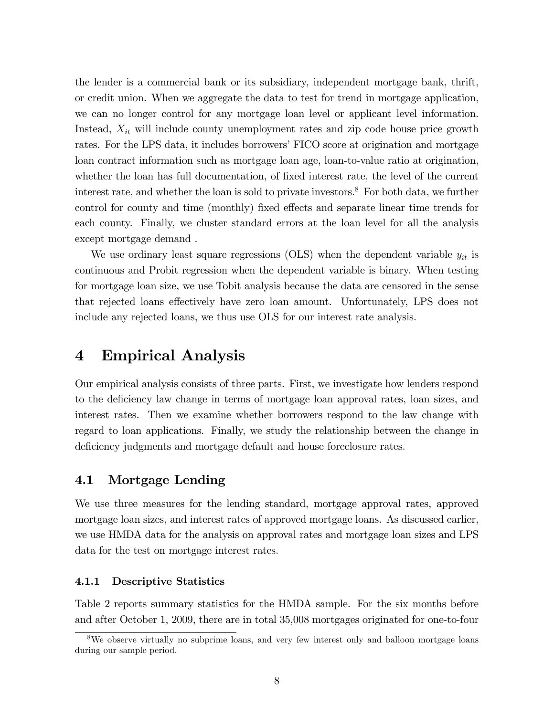the lender is a commercial bank or its subsidiary, independent mortgage bank, thrift, or credit union. When we aggregate the data to test for trend in mortgage application, we can no longer control for any mortgage loan level or applicant level information. Instead,  $X_{it}$  will include county unemployment rates and zip code house price growth rates. For the LPS data, it includes borrowers' FICO score at origination and mortgage loan contract information such as mortgage loan age, loan-to-value ratio at origination, whether the loan has full documentation, of fixed interest rate, the level of the current interest rate, and whether the loan is sold to private investors.<sup>8</sup> For both data, we further control for county and time (monthly) fixed effects and separate linear time trends for each county. Finally, we cluster standard errors at the loan level for all the analysis except mortgage demand .

We use ordinary least square regressions (OLS) when the dependent variable  $y_{it}$  is continuous and Probit regression when the dependent variable is binary. When testing for mortgage loan size, we use Tobit analysis because the data are censored in the sense that rejected loans effectively have zero loan amount. Unfortunately, LPS does not include any rejected loans, we thus use OLS for our interest rate analysis.

## 4 Empirical Analysis

Our empirical analysis consists of three parts. First, we investigate how lenders respond to the deficiency law change in terms of mortgage loan approval rates, loan sizes, and interest rates. Then we examine whether borrowers respond to the law change with regard to loan applications. Finally, we study the relationship between the change in deficiency judgments and mortgage default and house foreclosure rates.

### 4.1 Mortgage Lending

We use three measures for the lending standard, mortgage approval rates, approved mortgage loan sizes, and interest rates of approved mortgage loans. As discussed earlier, we use HMDA data for the analysis on approval rates and mortgage loan sizes and LPS data for the test on mortgage interest rates.

### 4.1.1 Descriptive Statistics

Table 2 reports summary statistics for the HMDA sample. For the six months before and after October 1, 2009, there are in total 35,008 mortgages originated for one-to-four

<sup>&</sup>lt;sup>8</sup>We observe virtually no subprime loans, and very few interest only and balloon mortgage loans during our sample period.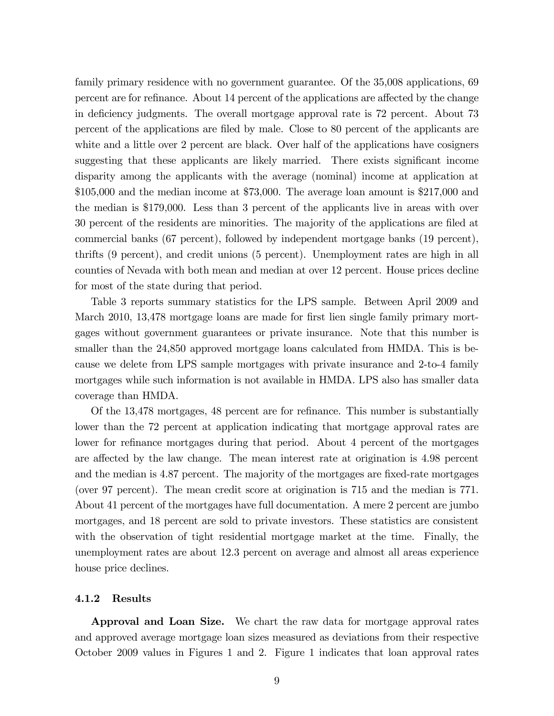family primary residence with no government guarantee. Of the 35,008 applications, 69 percent are for refinance. About 14 percent of the applications are affected by the change in deficiency judgments. The overall mortgage approval rate is 72 percent. About 73 percent of the applications are filed by male. Close to 80 percent of the applicants are white and a little over 2 percent are black. Over half of the applications have cosigners suggesting that these applicants are likely married. There exists significant income disparity among the applicants with the average (nominal) income at application at \$105,000 and the median income at \$73,000. The average loan amount is \$217,000 and the median is \$179,000. Less than 3 percent of the applicants live in areas with over 30 percent of the residents are minorities. The majority of the applications are filed at commercial banks (67 percent), followed by independent mortgage banks (19 percent), thrifts (9 percent), and credit unions (5 percent). Unemployment rates are high in all counties of Nevada with both mean and median at over 12 percent. House prices decline for most of the state during that period.

Table 3 reports summary statistics for the LPS sample. Between April 2009 and March 2010, 13,478 mortgage loans are made for first lien single family primary mortgages without government guarantees or private insurance. Note that this number is smaller than the 24,850 approved mortgage loans calculated from HMDA. This is because we delete from LPS sample mortgages with private insurance and 2-to-4 family mortgages while such information is not available in HMDA. LPS also has smaller data coverage than HMDA.

Of the 13,478 mortgages, 48 percent are for refinance. This number is substantially lower than the 72 percent at application indicating that mortgage approval rates are lower for refinance mortgages during that period. About 4 percent of the mortgages are affected by the law change. The mean interest rate at origination is 4.98 percent and the median is 4.87 percent. The majority of the mortgages are fixed-rate mortgages (over 97 percent). The mean credit score at origination is 715 and the median is 771. About 41 percent of the mortgages have full documentation. A mere 2 percent are jumbo mortgages, and 18 percent are sold to private investors. These statistics are consistent with the observation of tight residential mortgage market at the time. Finally, the unemployment rates are about 12.3 percent on average and almost all areas experience house price declines.

#### 4.1.2 Results

Approval and Loan Size. We chart the raw data for mortgage approval rates and approved average mortgage loan sizes measured as deviations from their respective October 2009 values in Figures 1 and 2. Figure 1 indicates that loan approval rates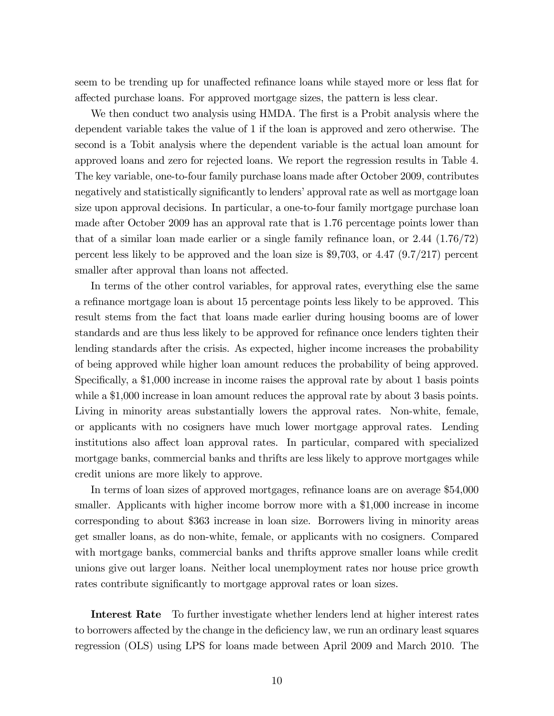seem to be trending up for unaffected refinance loans while stayed more or less flat for a§ected purchase loans. For approved mortgage sizes, the pattern is less clear.

We then conduct two analysis using HMDA. The first is a Probit analysis where the dependent variable takes the value of 1 if the loan is approved and zero otherwise. The second is a Tobit analysis where the dependent variable is the actual loan amount for approved loans and zero for rejected loans. We report the regression results in Table 4. The key variable, one-to-four family purchase loans made after October 2009, contributes negatively and statistically significantly to lenders' approval rate as well as mortgage loan size upon approval decisions. In particular, a one-to-four family mortgage purchase loan made after October 2009 has an approval rate that is 1.76 percentage points lower than that of a similar loan made earlier or a single family refinance loan, or  $2.44$   $(1.76/72)$ percent less likely to be approved and the loan size is \$9,703, or 4.47 (9.7/217) percent smaller after approval than loans not affected.

In terms of the other control variables, for approval rates, everything else the same a refinance mortgage loan is about 15 percentage points less likely to be approved. This result stems from the fact that loans made earlier during housing booms are of lower standards and are thus less likely to be approved for refinance once lenders tighten their lending standards after the crisis. As expected, higher income increases the probability of being approved while higher loan amount reduces the probability of being approved. Specifically, a \$1,000 increase in income raises the approval rate by about 1 basis points while a \$1,000 increase in loan amount reduces the approval rate by about 3 basis points. Living in minority areas substantially lowers the approval rates. Non-white, female, or applicants with no cosigners have much lower mortgage approval rates. Lending institutions also affect loan approval rates. In particular, compared with specialized mortgage banks, commercial banks and thrifts are less likely to approve mortgages while credit unions are more likely to approve.

In terms of loan sizes of approved mortgages, refinance loans are on average \$54,000 smaller. Applicants with higher income borrow more with a \$1,000 increase in income corresponding to about \$363 increase in loan size. Borrowers living in minority areas get smaller loans, as do non-white, female, or applicants with no cosigners. Compared with mortgage banks, commercial banks and thrifts approve smaller loans while credit unions give out larger loans. Neither local unemployment rates nor house price growth rates contribute significantly to mortgage approval rates or loan sizes.

Interest Rate To further investigate whether lenders lend at higher interest rates to borrowers affected by the change in the deficiency law, we run an ordinary least squares regression (OLS) using LPS for loans made between April 2009 and March 2010. The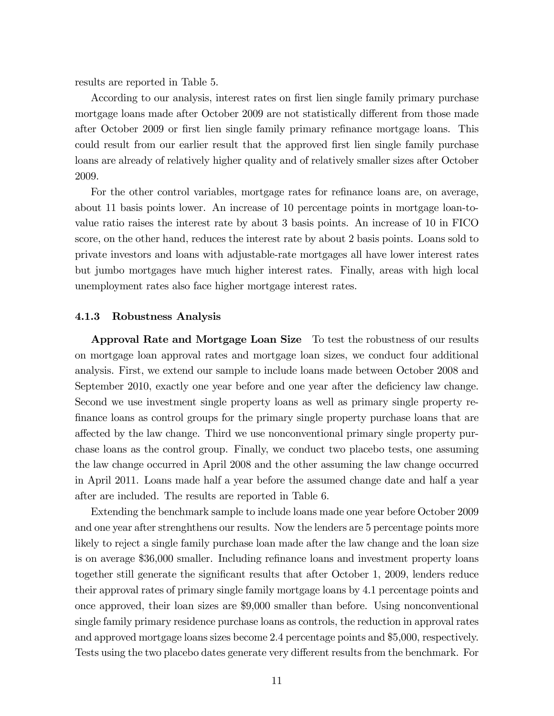results are reported in Table 5.

According to our analysis, interest rates on first lien single family primary purchase mortgage loans made after October 2009 are not statistically different from those made after October 2009 or first lien single family primary refinance mortgage loans. This could result from our earlier result that the approved first lien single family purchase loans are already of relatively higher quality and of relatively smaller sizes after October 2009.

For the other control variables, mortgage rates for refinance loans are, on average, about 11 basis points lower. An increase of 10 percentage points in mortgage loan-tovalue ratio raises the interest rate by about 3 basis points. An increase of 10 in FICO score, on the other hand, reduces the interest rate by about 2 basis points. Loans sold to private investors and loans with adjustable-rate mortgages all have lower interest rates but jumbo mortgages have much higher interest rates. Finally, areas with high local unemployment rates also face higher mortgage interest rates.

#### 4.1.3 Robustness Analysis

Approval Rate and Mortgage Loan Size To test the robustness of our results on mortgage loan approval rates and mortgage loan sizes, we conduct four additional analysis. First, we extend our sample to include loans made between October 2008 and September 2010, exactly one year before and one year after the deficiency law change. Second we use investment single property loans as well as primary single property refinance loans as control groups for the primary single property purchase loans that are affected by the law change. Third we use nonconventional primary single property purchase loans as the control group. Finally, we conduct two placebo tests, one assuming the law change occurred in April 2008 and the other assuming the law change occurred in April 2011. Loans made half a year before the assumed change date and half a year after are included. The results are reported in Table 6.

Extending the benchmark sample to include loans made one year before October 2009 and one year after strenghthens our results. Now the lenders are 5 percentage points more likely to reject a single family purchase loan made after the law change and the loan size is on average \$36,000 smaller. Including refinance loans and investment property loans together still generate the significant results that after October 1, 2009, lenders reduce their approval rates of primary single family mortgage loans by 4.1 percentage points and once approved, their loan sizes are \$9,000 smaller than before. Using nonconventional single family primary residence purchase loans as controls, the reduction in approval rates and approved mortgage loans sizes become 2.4 percentage points and \$5,000, respectively. Tests using the two placebo dates generate very different results from the benchmark. For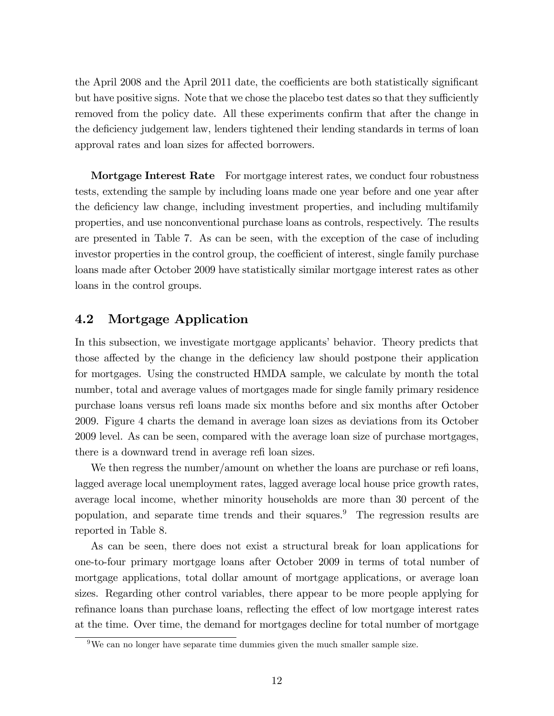the April 2008 and the April 2011 date, the coefficients are both statistically significant but have positive signs. Note that we chose the placebo test dates so that they sufficiently removed from the policy date. All these experiments confirm that after the change in the deficiency judgement law, lenders tightened their lending standards in terms of loan approval rates and loan sizes for affected borrowers.

**Mortgage Interest Rate** For mortgage interest rates, we conduct four robustness tests, extending the sample by including loans made one year before and one year after the deficiency law change, including investment properties, and including multifamily properties, and use nonconventional purchase loans as controls, respectively. The results are presented in Table 7. As can be seen, with the exception of the case of including investor properties in the control group, the coefficient of interest, single family purchase loans made after October 2009 have statistically similar mortgage interest rates as other loans in the control groups.

### 4.2 Mortgage Application

In this subsection, we investigate mortgage applicants' behavior. Theory predicts that those affected by the change in the deficiency law should postpone their application for mortgages. Using the constructed HMDA sample, we calculate by month the total number, total and average values of mortgages made for single family primary residence purchase loans versus reÖ loans made six months before and six months after October 2009. Figure 4 charts the demand in average loan sizes as deviations from its October 2009 level. As can be seen, compared with the average loan size of purchase mortgages, there is a downward trend in average refi loan sizes.

We then regress the number/amount on whether the loans are purchase or refi loans, lagged average local unemployment rates, lagged average local house price growth rates, average local income, whether minority households are more than 30 percent of the population, and separate time trends and their squares.<sup>9</sup> The regression results are reported in Table 8.

As can be seen, there does not exist a structural break for loan applications for one-to-four primary mortgage loans after October 2009 in terms of total number of mortgage applications, total dollar amount of mortgage applications, or average loan sizes. Regarding other control variables, there appear to be more people applying for refinance loans than purchase loans, reflecting the effect of low mortgage interest rates at the time. Over time, the demand for mortgages decline for total number of mortgage

 $\frac{9}{9}$ We can no longer have separate time dummies given the much smaller sample size.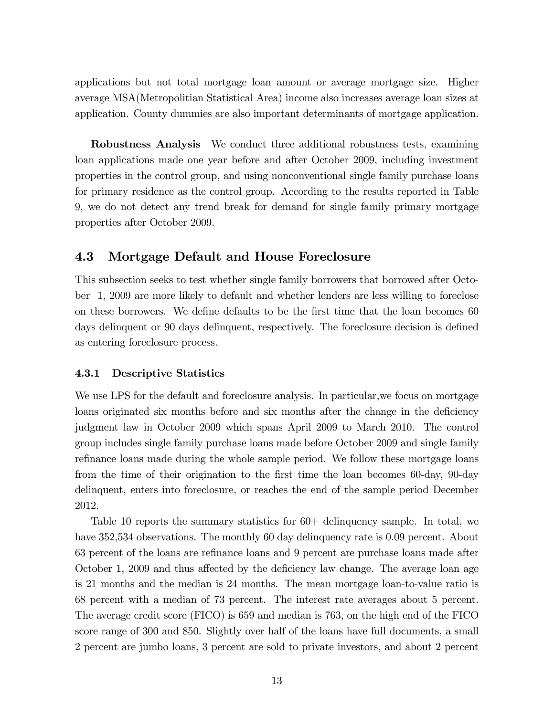applications but not total mortgage loan amount or average mortgage size. Higher average MSA(Metropolitian Statistical Area) income also increases average loan sizes at application. County dummies are also important determinants of mortgage application.

Robustness Analysis We conduct three additional robustness tests, examining loan applications made one year before and after October 2009, including investment properties in the control group, and using nonconventional single family purchase loans for primary residence as the control group. According to the results reported in Table 9, we do not detect any trend break for demand for single family primary mortgage properties after October 2009.

### 4.3 Mortgage Default and House Foreclosure

This subsection seeks to test whether single family borrowers that borrowed after October 1, 2009 are more likely to default and whether lenders are less willing to foreclose on these borrowers. We define defaults to be the first time that the loan becomes 60 days delinquent or 90 days delinquent, respectively. The foreclosure decision is defined as entering foreclosure process.

### 4.3.1 Descriptive Statistics

We use LPS for the default and foreclosure analysis. In particular, we focus on mortgage loans originated six months before and six months after the change in the deficiency judgment law in October 2009 which spans April 2009 to March 2010. The control group includes single family purchase loans made before October 2009 and single family refinance loans made during the whole sample period. We follow these mortgage loans from the time of their origination to the first time the loan becomes 60-day, 90-day delinquent, enters into foreclosure, or reaches the end of the sample period December 2012.

Table 10 reports the summary statistics for  $60+$  delinquency sample. In total, we have 352,534 observations. The monthly 60 day delinquency rate is 0.09 percent. About 63 percent of the loans are reÖnance loans and 9 percent are purchase loans made after October 1, 2009 and thus affected by the deficiency law change. The average loan age is 21 months and the median is 24 months. The mean mortgage loan-to-value ratio is 68 percent with a median of 73 percent. The interest rate averages about 5 percent. The average credit score (FICO) is 659 and median is 763, on the high end of the FICO score range of 300 and 850. Slightly over half of the loans have full documents, a small 2 percent are jumbo loans, 3 percent are sold to private investors, and about 2 percent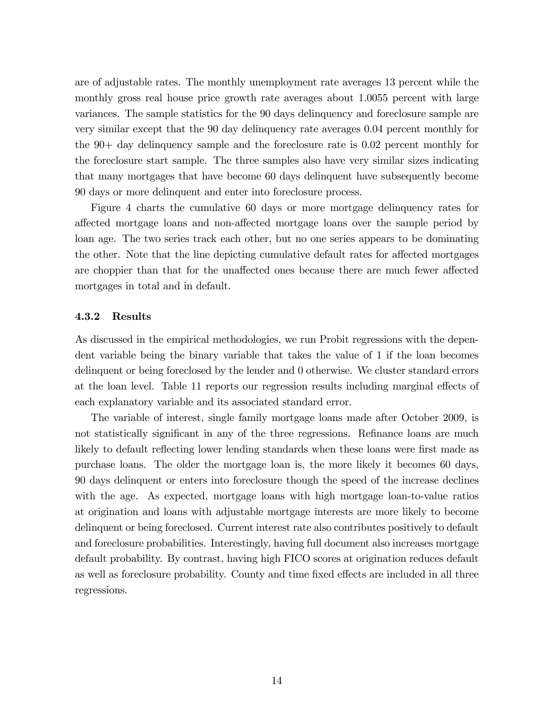are of adjustable rates. The monthly unemployment rate averages 13 percent while the monthly gross real house price growth rate averages about 1.0055 percent with large variances. The sample statistics for the 90 days delinquency and foreclosure sample are very similar except that the 90 day delinquency rate averages 0.04 percent monthly for the 90+ day delinquency sample and the foreclosure rate is 0.02 percent monthly for the foreclosure start sample. The three samples also have very similar sizes indicating that many mortgages that have become 60 days delinquent have subsequently become 90 days or more delinquent and enter into foreclosure process.

Figure 4 charts the cumulative 60 days or more mortgage delinquency rates for affected mortgage loans and non-affected mortgage loans over the sample period by loan age. The two series track each other, but no one series appears to be dominating the other. Note that the line depicting cumulative default rates for affected mortgages are choppier than that for the unaffected ones because there are much fewer affected mortgages in total and in default.

#### 4.3.2 Results

As discussed in the empirical methodologies, we run Probit regressions with the dependent variable being the binary variable that takes the value of 1 if the loan becomes delinquent or being foreclosed by the lender and 0 otherwise. We cluster standard errors at the loan level. Table 11 reports our regression results including marginal effects of each explanatory variable and its associated standard error.

The variable of interest, single family mortgage loans made after October 2009, is not statistically significant in any of the three regressions. Refinance loans are much likely to default reflecting lower lending standards when these loans were first made as purchase loans. The older the mortgage loan is, the more likely it becomes 60 days, 90 days delinquent or enters into foreclosure though the speed of the increase declines with the age. As expected, mortgage loans with high mortgage loan-to-value ratios at origination and loans with adjustable mortgage interests are more likely to become delinquent or being foreclosed. Current interest rate also contributes positively to default and foreclosure probabilities. Interestingly, having full document also increases mortgage default probability. By contrast, having high FICO scores at origination reduces default as well as foreclosure probability. County and time fixed effects are included in all three regressions.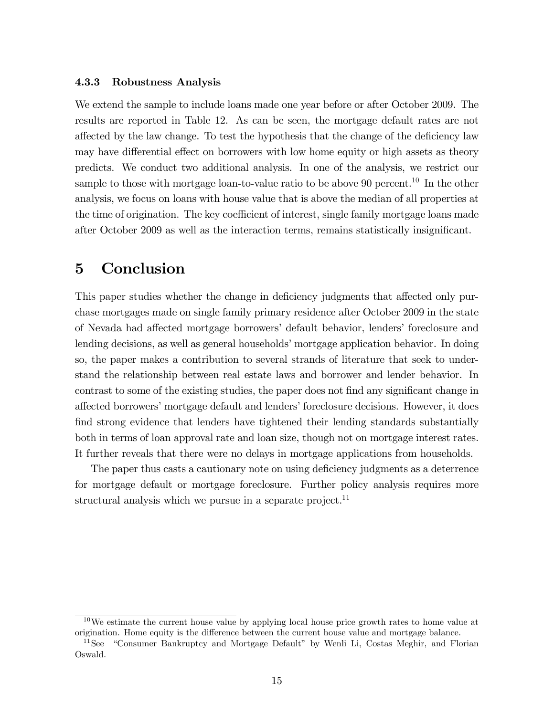#### 4.3.3 Robustness Analysis

We extend the sample to include loans made one year before or after October 2009. The results are reported in Table 12. As can be seen, the mortgage default rates are not affected by the law change. To test the hypothesis that the change of the deficiency law may have differential effect on borrowers with low home equity or high assets as theory predicts. We conduct two additional analysis. In one of the analysis, we restrict our sample to those with mortgage loan-to-value ratio to be above 90 percent.<sup>10</sup> In the other analysis, we focus on loans with house value that is above the median of all properties at the time of origination. The key coefficient of interest, single family mortgage loans made after October 2009 as well as the interaction terms, remains statistically insignificant.

# 5 Conclusion

This paper studies whether the change in deficiency judgments that affected only purchase mortgages made on single family primary residence after October 2009 in the state of Nevada had affected mortgage borrowers' default behavior, lenders' foreclosure and lending decisions, as well as general households' mortgage application behavior. In doing so, the paper makes a contribution to several strands of literature that seek to understand the relationship between real estate laws and borrower and lender behavior. In contrast to some of the existing studies, the paper does not find any significant change in affected borrowers' mortgage default and lenders' foreclosure decisions. However, it does find strong evidence that lenders have tightened their lending standards substantially both in terms of loan approval rate and loan size, though not on mortgage interest rates. It further reveals that there were no delays in mortgage applications from households.

The paper thus casts a cautionary note on using deficiency judgments as a deterrence for mortgage default or mortgage foreclosure. Further policy analysis requires more structural analysis which we pursue in a separate project.<sup>11</sup>

 $10\,\text{We estimate the current house value by applying local house price growth rates to home value at$ origination. Home equity is the difference between the current house value and mortgage balance.

 $11$ See "Consumer Bankruptcy and Mortgage Default" by Wenli Li, Costas Meghir, and Florian Oswald.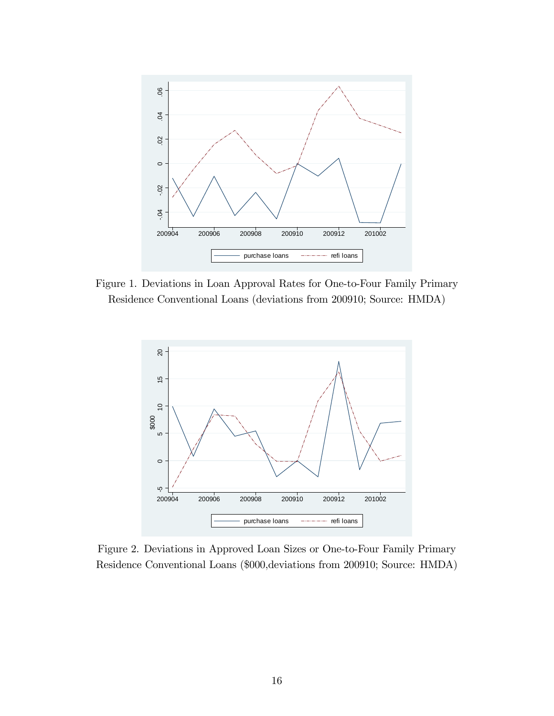

Figure 1. Deviations in Loan Approval Rates for One-to-Four Family Primary Residence Conventional Loans (deviations from 200910; Source: HMDA)



Figure 2. Deviations in Approved Loan Sizes or One-to-Four Family Primary Residence Conventional Loans (\$000,deviations from 200910; Source: HMDA)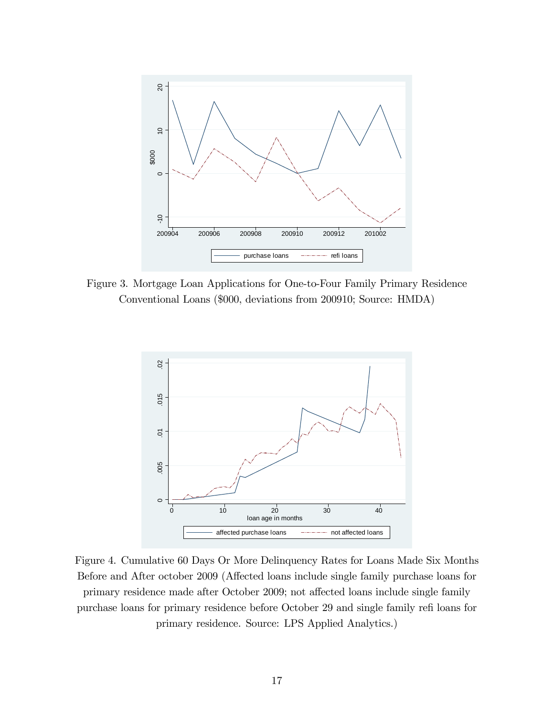

Figure 3. Mortgage Loan Applications for One-to-Four Family Primary Residence Conventional Loans (\$000, deviations from 200910; Source: HMDA)



Figure 4. Cumulative 60 Days Or More Delinquency Rates for Loans Made Six Months Before and After october 2009 (Affected loans include single family purchase loans for primary residence made after October 2009; not affected loans include single family purchase loans for primary residence before October 29 and single family refi loans for primary residence. Source: LPS Applied Analytics.)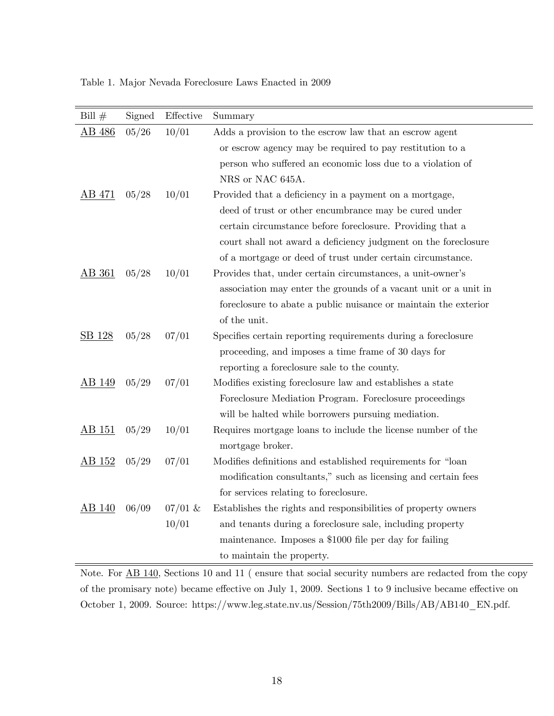Table 1. Major Nevada Foreclosure Laws Enacted in 2009

| Bill $#$      | Signed | Effective | Summary                                                         |
|---------------|--------|-----------|-----------------------------------------------------------------|
| AB 486        | 05/26  | 10/01     | Adds a provision to the escrow law that an escrow agent         |
|               |        |           | or escrow agency may be required to pay restitution to a        |
|               |        |           | person who suffered an economic loss due to a violation of      |
|               |        |           | NRS or NAC 645A.                                                |
| AB 471        | 05/28  | 10/01     | Provided that a deficiency in a payment on a mortgage,          |
|               |        |           | deed of trust or other encumbrance may be cured under           |
|               |        |           | certain circumstance before foreclosure. Providing that a       |
|               |        |           | court shall not award a deficiency judgment on the foreclosure  |
|               |        |           | of a mortgage or deed of trust under certain circumstance.      |
| AB 361        | 05/28  | 10/01     | Provides that, under certain circumstances, a unit-owner's      |
|               |        |           | association may enter the grounds of a vacant unit or a unit in |
|               |        |           | foreclosure to abate a public nuisance or maintain the exterior |
|               |        |           | of the unit.                                                    |
| SB 128        | 05/28  | 07/01     | Specifies certain reporting requirements during a foreclosure   |
|               |        |           | proceeding, and imposes a time frame of 30 days for             |
|               |        |           | reporting a foreclosure sale to the county.                     |
| AB 149        | 05/29  | 07/01     | Modifies existing foreclosure law and establishes a state       |
|               |        |           | Foreclosure Mediation Program. Foreclosure proceedings          |
|               |        |           | will be halted while borrowers pursuing mediation.              |
| <u>AB 151</u> | 05/29  | 10/01     | Requires mortgage loans to include the license number of the    |
|               |        |           | mortgage broker.                                                |
| <u>AB 152</u> | 05/29  | 07/01     | Modifies definitions and established requirements for "loan     |
|               |        |           | modification consultants," such as licensing and certain fees   |
|               |        |           | for services relating to foreclosure.                           |
| AB 140        | 06/09  | $07/01$ & | Establishes the rights and responsibilities of property owners  |
|               |        | 10/01     | and tenants during a foreclosure sale, including property       |
|               |        |           | maintenance. Imposes a \$1000 file per day for failing          |
|               |        |           | to maintain the property.                                       |

Note. For AB 140, Sections 10 and 11 ( ensure that social security numbers are redacted from the copy of the promisary note) became effective on July 1, 2009. Sections 1 to 9 inclusive became effective on October 1, 2009. Source: https://www.leg.state.nv.us/Session/75th2009/Bills/AB/AB140\_EN.pdf.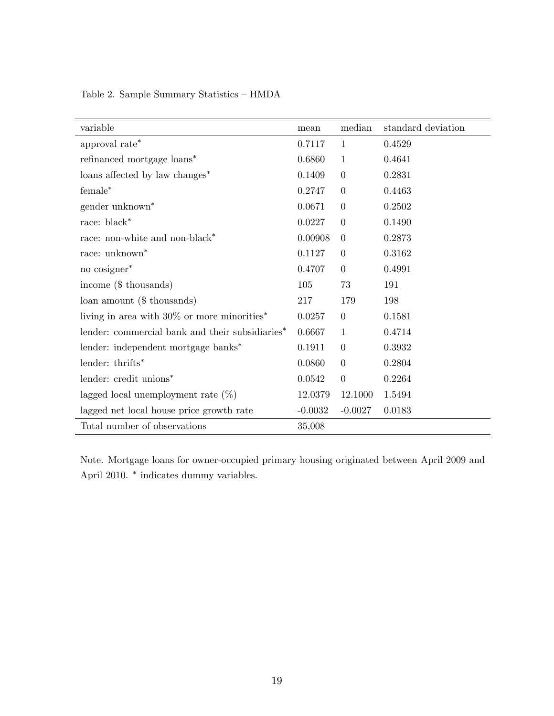Table 2. Sample Summary Statistics  $\mathcal -$  HMDA

| variable                                                   | mean      | median         | standard deviation |
|------------------------------------------------------------|-----------|----------------|--------------------|
| approval $\mathrm{rate}^*$                                 | 0.7117    | $\mathbf{1}$   | 0.4529             |
| refinanced mortgage loans*                                 | 0.6860    | $\mathbf{1}$   | 0.4641             |
| loans affected by law changes*                             | 0.1409    | $\overline{0}$ | 0.2831             |
| $f$ emale $*$                                              | 0.2747    | $\overline{0}$ | 0.4463             |
| gender unknown <sup>*</sup>                                | 0.0671    | $\Omega$       | 0.2502             |
| race: $\ensuremath{\text{black}}^*$                        | 0.0227    | $\overline{0}$ | 0.1490             |
| race: non-white and non-black*                             | 0.00908   | $\overline{0}$ | 0.2873             |
| race: unknown <sup>*</sup>                                 | 0.1127    | $\overline{0}$ | 0.3162             |
| no cosigner*                                               | 0.4707    | $\overline{0}$ | 0.4991             |
| income (\$ thousands)                                      | 105       | 73             | 191                |
| loan amount $($$ thousands)                                | 217       | 179            | 198                |
| living in area with $30\%$ or more minorities <sup>*</sup> | 0.0257    | $\overline{0}$ | 0.1581             |
| lender: commercial bank and their subsidiaries*            | 0.6667    | $\mathbf{1}$   | 0.4714             |
| lender: independent mortgage banks*                        | 0.1911    | $\overline{0}$ | 0.3932             |
| lender: thrifts*                                           | 0.0860    | $\theta$       | 0.2804             |
| lender: credit unions*                                     | 0.0542    | $\overline{0}$ | 0.2264             |
| lagged local unemployment rate $(\%)$                      | 12.0379   | 12.1000        | 1.5494             |
| lagged net local house price growth rate                   | $-0.0032$ | $-0.0027$      | 0.0183             |
| Total number of observations                               | 35,008    |                |                    |

Note. Mortgage loans for owner-occupied primary housing originated between April 2009 and April 2010.  $*$  indicates dummy variables.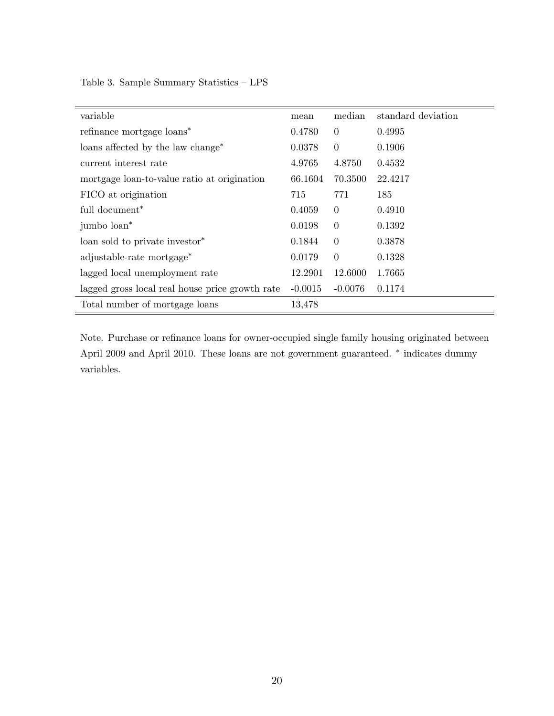Table 3. Sample Summary Statistics  $\hbox{--}\, \text{LPS}$ 

| variable                                        | mean      | median         | standard deviation |
|-------------------------------------------------|-----------|----------------|--------------------|
| refinance mortgage loans*                       | 0.4780    | $\overline{0}$ | 0.4995             |
| loans affected by the law change <sup>*</sup>   | 0.0378    | $\overline{0}$ | 0.1906             |
| current interest rate                           | 4.9765    | 4.8750         | 0.4532             |
| mortgage loan-to-value ratio at origination     | 66.1604   | 70.3500        | 22.4217            |
| FICO at origination                             | 715       | 771            | 185                |
| full document <sup>*</sup>                      | 0.4059    | $\overline{0}$ | 0.4910             |
| jumbo loan*                                     | 0.0198    | $\overline{0}$ | 0.1392             |
| loan sold to private investor <sup>*</sup>      | 0.1844    | $\overline{0}$ | 0.3878             |
| adjustable-rate mortgage*                       | 0.0179    | $\theta$       | 0.1328             |
| lagged local unemployment rate                  | 12.2901   | 12.6000        | 1.7665             |
| lagged gross local real house price growth rate | $-0.0015$ | $-0.0076$      | 0.1174             |
| Total number of mortgage loans                  | 13,478    |                |                    |

Note. Purchase or refinance loans for owner-occupied single family housing originated between April 2009 and April 2010. These loans are not government guaranteed.  $*$  indicates dummy variables.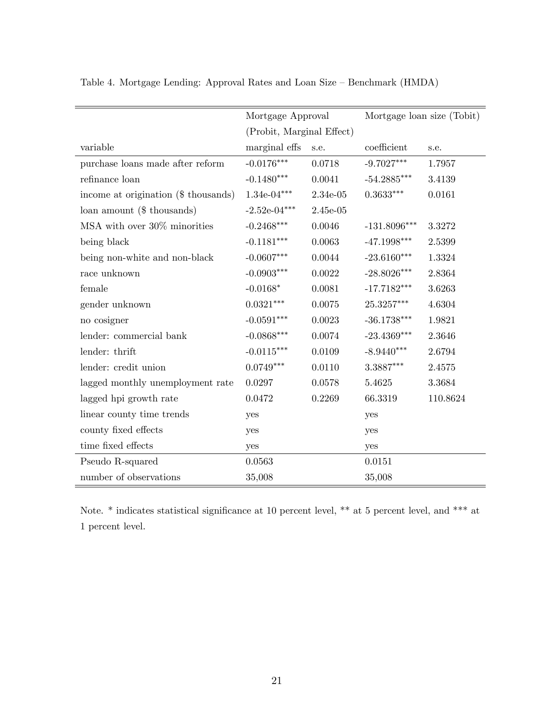|                                      |                           |            | Mortgage loan size (Tobit)         |          |  |
|--------------------------------------|---------------------------|------------|------------------------------------|----------|--|
|                                      | Mortgage Approval         |            |                                    |          |  |
|                                      | (Probit, Marginal Effect) |            |                                    |          |  |
| variable                             | marginal effs             | s.e.       | coefficient                        | s.e.     |  |
| purchase loans made after reform     | $-0.0176***$              | 0.0718     | $-9.7027***$                       | 1.7957   |  |
| refinance loan                       | $-0.1480***$              | 0.0041     | $-54.2885***$                      | 3.4139   |  |
| income at origination (\$ thousands) | $1.34e-04***$             | $2.34e-05$ | $0.3633^{***}\,$                   | 0.0161   |  |
| loan amount $($$ thousands)          | $-2.52e-04***$            | $2.45e-05$ |                                    |          |  |
| MSA with over 30% minorities         | $-0.2468^{***}\,$         | 0.0046     | $-131.8096^{***}\,$                | 3.3272   |  |
| being black                          | $-0.1181***$              | 0.0063     | $-47.1998***$                      | 2.5399   |  |
| being non-white and non-black        | $-0.0607***$              | 0.0044     | $-23.6160***$                      | 1.3324   |  |
| race unknown                         | $-0.0903***$              | 0.0022     | $-28.8026***$                      | 2.8364   |  |
| female                               | $-0.0168*$                | 0.0081     | $-17.7182***$                      | 3.6263   |  |
| gender unknown                       | $0.0321***$               | 0.0075     | $25.3257^{\ast\ast\ast}$           | 4.6304   |  |
| no cosigner                          | $-0.0591***$              | 0.0023     | $\textbf{-36.1738}^{\ast\ast\ast}$ | 1.9821   |  |
| lender: commercial bank              | $-0.0868***$              | 0.0074     | $-23.4369^{\ast\ast\ast}$          | 2.3646   |  |
| lender: thrift                       | $-0.0115***$              | 0.0109     | $-8.9440***$                       | 2.6794   |  |
| lender: credit union                 | $0.0749***$               | 0.0110     | $3.3887***$                        | 2.4575   |  |
| lagged monthly unemployment rate     | 0.0297                    | 0.0578     | 5.4625                             | 3.3684   |  |
| lagged hpi growth rate               | 0.0472                    | 0.2269     | 66.3319                            | 110.8624 |  |
| linear county time trends            | yes                       |            | yes                                |          |  |
| county fixed effects                 | yes                       |            | yes                                |          |  |
| time fixed effects                   | yes                       |            | yes                                |          |  |
| Pseudo R-squared                     | 0.0563                    |            | 0.0151                             |          |  |
| number of observations               | 35,008                    |            | 35,008                             |          |  |

Table 4. Mortgage Lending: Approval Rates and Loan Size  $-$  Benchmark (HMDA)

Note.  $*$  indicates statistical significance at 10 percent level,  $**$  at 5 percent level, and  $***$  at 1 percent level.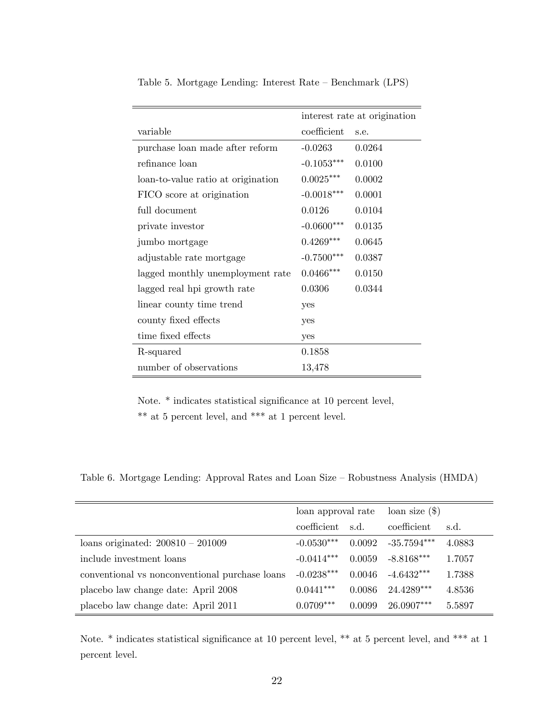|                                    | interest rate at origination |        |  |
|------------------------------------|------------------------------|--------|--|
| variable                           | coefficient                  | s.e.   |  |
| purchase loan made after reform    | $-0.0263$                    | 0.0264 |  |
| refinance loan                     | $-0.1053***$                 | 0.0100 |  |
| loan-to-value ratio at origination | $0.0025***$                  | 0.0002 |  |
| FICO score at origination          | $-0.0018***$                 | 0.0001 |  |
| full document                      | 0.0126                       | 0.0104 |  |
| private investor                   | $-0.0600***$                 | 0.0135 |  |
| jumbo mortgage                     | $0.4269***$                  | 0.0645 |  |
| adjustable rate mortgage           | $-0.7500***$                 | 0.0387 |  |
| lagged monthly unemployment rate   | $0.0466$ ***                 | 0.0150 |  |
| lagged real hpi growth rate        | 0.0306                       | 0.0344 |  |
| linear county time trend           | yes                          |        |  |
| county fixed effects               | yes                          |        |  |
| time fixed effects                 | yes                          |        |  |
| R-squared                          | 0.1858                       |        |  |
| number of observations             | 13,478                       |        |  |

Table 5. Mortgage Lending: Interest Rate – Benchmark (LPS)

Note. \* indicates statistical significance at 10 percent level, \*\* at 5 percent level, and \*\*\* at 1 percent level.

Table 6. Mortgage Lending: Approval Rates and Loan Size – Robustness Analysis (HMDA)

|                                                | loan approval rate |        | $\alpha$ loan size $(\text{\$})$ |        |
|------------------------------------------------|--------------------|--------|----------------------------------|--------|
|                                                | coefficient        | s.d.   | coefficient                      | s.d.   |
| loans originated: $200810 - 201009$            | $-0.0530***$       | 0.0092 | $-35.7594***$                    | 4.0883 |
| include investment loans                       | $-0.0414***$       | 0.0059 | $-8.8168***$                     | 1.7057 |
| conventional vs nonconventional purchase loans | $-0.0238***$       | 0.0046 | $-4.6432***$                     | 1.7388 |
| placebo law change date: April 2008            | $0.0441***$        | 0.0086 | 24.4289***                       | 4.8536 |
| placebo law change date: April 2011            | $0.0709***$        | 0.0099 | $26.0907***$                     | 5.5897 |

Note.  $*$  indicates statistical significance at 10 percent level,  $**$  at 5 percent level, and  $***$  at 1 percent level.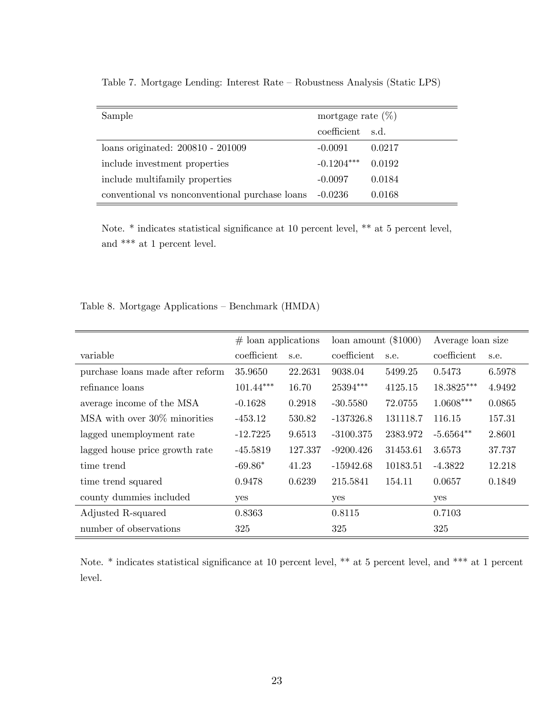| Sample                                         | mortgage rate $(\%)$ |        |  |  |
|------------------------------------------------|----------------------|--------|--|--|
|                                                | coefficient s.d.     |        |  |  |
| loans originated: 200810 - 201009              | $-0.0091$            | 0.0217 |  |  |
| include investment properties                  | $-0.1204***$         | 0.0192 |  |  |
| include multifamily properties                 | $-0.0097$            | 0.0184 |  |  |
| conventional vs nonconventional purchase loans | $-0.0236$            | 0.0168 |  |  |

Table 7. Mortgage Lending: Interest Rate – Robustness Analysis (Static LPS)

Note.  $*$  indicates statistical significance at 10 percent level,  $**$  at 5 percent level, and  $\mathrm{***}$  at 1 percent level.

Table 8. Mortgage Applications – Benchmark (HMDA)

|                                  | $#$ loan applications |         | loan amount $(\$1000)$ |          | Average loan size |        |
|----------------------------------|-----------------------|---------|------------------------|----------|-------------------|--------|
| variable                         | coefficient           | s.e.    | coefficient            | s.e.     | coefficient       | s.e.   |
| purchase loans made after reform | 35.9650               | 22.2631 | 9038.04                | 5499.25  | 0.5473            | 6.5978 |
| refinance loans                  | $101.44***$           | 16.70   | 25394***               | 4125.15  | 18.3825***        | 4.9492 |
| average income of the MSA        | $-0.1628$             | 0.2918  | $-30.5580$             | 72.0755  | $1.0608***$       | 0.0865 |
| MSA with over 30\% minorities    | $-453.12$             | 530.82  | $-137326.8$            | 131118.7 | 116.15            | 157.31 |
| lagged unemployment rate         | $-12.7225$            | 9.6513  | $-3100.375$            | 2383.972 | $-5.6564**$       | 2.8601 |
| lagged house price growth rate   | $-45.5819$            | 127.337 | $-9200.426$            | 31453.61 | 3.6573            | 37.737 |
| time trend                       | $-69.86*$             | 41.23   | $-15942.68$            | 10183.51 | $-4.3822$         | 12.218 |
| time trend squared               | 0.9478                | 0.6239  | 215.5841               | 154.11   | 0.0657            | 0.1849 |
| county dummies included          | yes                   |         | yes                    |          | yes               |        |
| Adjusted R-squared               | 0.8363                |         | 0.8115                 |          | 0.7103            |        |
| number of observations           | 325                   |         | 325                    |          | 325               |        |

Note. \* indicates statistical significance at 10 percent level, \*\* at 5 percent level, and \*\*\* at 1 percent level.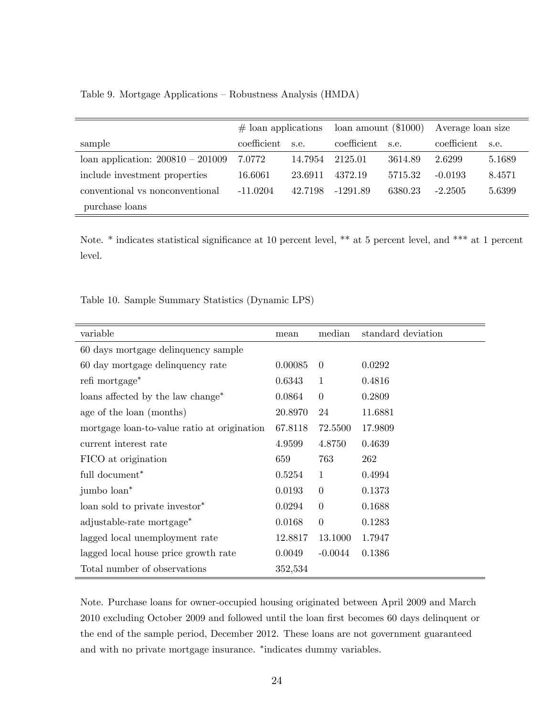Table 9. Mortgage Applications – Robustness Analysis (HMDA)

|                                     | $#$ loan applications |         | loan amount $(\$1000)$ |         | Average loan size |        |
|-------------------------------------|-----------------------|---------|------------------------|---------|-------------------|--------|
| sample                              | coefficient           | s.e.    | coefficient            | s.e.    | coefficient       | s.e.   |
| loan application: $200810 - 201009$ | 7.0772                | 14.7954 | 2125.01                | 3614.89 | 2.6299            | 5.1689 |
| include investment properties       | 16.6061               | 23.6911 | 4372.19                | 5715.32 | $-0.0193$         | 8.4571 |
| conventional vs nonconventional     | $-11.0204$            | 42.7198 | -1291.89               | 6380.23 | $-2.2505$         | 5.6399 |
| purchase loans                      |                       |         |                        |         |                   |        |

Note. \* indicates statistical significance at 10 percent level, \*\* at 5 percent level, and \*\*\* at 1 percent level.

Table 10. Sample Summary Statistics (Dynamic LPS)

| variable                                      | mean    | median         | standard deviation |
|-----------------------------------------------|---------|----------------|--------------------|
| 60 days mortgage delinquency sample           |         |                |                    |
| 60 day mortgage delinquency rate              | 0.00085 | $\theta$       | 0.0292             |
| refi mortgage <sup>*</sup>                    | 0.6343  | $\mathbf{1}$   | 0.4816             |
| loans affected by the law change <sup>*</sup> | 0.0864  | $\theta$       | 0.2809             |
| age of the loan (months)                      | 20.8970 | 24             | 11.6881            |
| mortgage loan-to-value ratio at origination   | 67.8118 | 72.5500        | 17.9809            |
| current interest rate                         | 4.9599  | 4.8750         | 0.4639             |
| FICO at origination                           | 659     | 763            | 262                |
| full document <sup>*</sup>                    | 0.5254  | $\mathbf{1}$   | 0.4994             |
| jumbo loan <sup>*</sup>                       | 0.0193  | $\theta$       | 0.1373             |
| loan sold to private investor <sup>*</sup>    | 0.0294  | $\theta$       | 0.1688             |
| adjustable-rate mortgage*                     | 0.0168  | $\overline{0}$ | 0.1283             |
| lagged local unemployment rate                | 12.8817 | 13.1000        | 1.7947             |
| lagged local house price growth rate          | 0.0049  | $-0.0044$      | 0.1386             |
| Total number of observations                  | 352,534 |                |                    |

Note. Purchase loans for owner-occupied housing originated between April 2009 and March 2010 excluding October 2009 and followed until the loan first becomes 60 days delinquent or the end of the sample period, December 2012. These loans are not government guaranteed and with no private mortgage insurance. \*indicates dummy variables.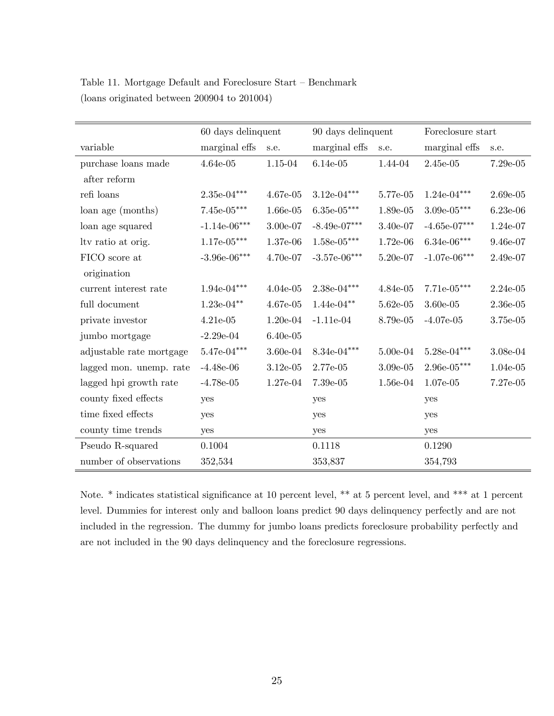|                          | 60 days delinquent                 |            | 90 days delinquent |            | Foreclosure start |            |
|--------------------------|------------------------------------|------------|--------------------|------------|-------------------|------------|
| variable                 | marginal effs                      | s.e.       | marginal effs      | s.e.       | marginal effs     | s.e.       |
| purchase loans made      | $4.64e-05$                         | 1.15-04    | $6.14e-05$         | 1.44-04    | $2.45e-05$        | $7.29e-05$ |
| after reform             |                                    |            |                    |            |                   |            |
| refi loans               | $2.35e-04***$                      | $4.67e-05$ | $3.12e-04***$      | 5.77e-05   | $1.24e-04***$     | $2.69e-05$ |
| loan age (months)        | $7.45e-05***$                      | $1.66e-05$ | $6.35e-05***$      | $1.89e-05$ | $3.09e-05***$     | $6.23e-06$ |
| loan age squared         | $-1.14e-06***$                     | 3.00e-07   | $-8.49e-07***$     | 3.40e-07   | $-4.65e-07***$    | 1.24e-07   |
| Ity ratio at orig.       | $1.17e-05***$                      | 1.37e-06   | $1.58e-05***$      | $1.72e-06$ | $6.34e-06***$     | 9.46e-07   |
| FICO score at            | $-3.96e-06***$                     | 4.70e-07   | $-3.57e-06***$     | 5.20e-07   | $-1.07e-06***$    | 2.49e-07   |
| origination              |                                    |            |                    |            |                   |            |
| current interest rate    | $1.94\mathrm{e}{\text{-}04}^{***}$ | $4.04e-05$ | $2.38e-04***$      | $4.84e-05$ | $7.71e-05***$     | $2.24e-05$ |
| full document            | $1.23e-04**$                       | $4.67e-05$ | $1.44e-04**$       | $5.62e-05$ | $3.60e-05$        | $2.36e-05$ |
| private investor         | $4.21e-05$                         | $1.20e-04$ | $-1.11e-04$        | 8.79e-05   | $-4.07e-05$       | 3.75e-05   |
| jumbo mortgage           | $-2.29e-04$                        | $6.40e-05$ |                    |            |                   |            |
| adjustable rate mortgage | $5.47 {\rm e\hbox{-}04^{***}}$     | $3.60e-04$ | $8.34e-04***$      | $5.00e-04$ | $5.28e-04***$     | 3.08e-04   |
| lagged mon. unemp. rate  | $-4.48e-06$                        | $3.12e-05$ | 2.77e-05           | $3.09e-05$ | $2.96e-05***$     | $1.04e-05$ |
| lagged hpi growth rate   | $-4.78e-05$                        | $1.27e-04$ | 7.39e-05           | $1.56e-04$ | $1.07e-05$        | 7.27e-05   |
| county fixed effects     | yes                                |            | yes                |            | yes               |            |
| time fixed effects       | yes                                |            | yes                |            | yes               |            |
| county time trends       | yes                                |            | yes                |            | yes               |            |
| Pseudo R-squared         | 0.1004                             |            | 0.1118             |            | 0.1290            |            |
| number of observations   | 352,534                            |            | 353,837            |            | 354,793           |            |

Table 11. Mortgage Default and Foreclosure Start – Benchmark (loans originated between 200904 to 201004)

Note. \* indicates statistical significance at 10 percent level, \*\* at 5 percent level, and \*\*\* at 1 percent level. Dummies for interest only and balloon loans predict 90 days delinquency perfectly and are not included in the regression. The dummy for jumbo loans predicts foreclosure probability perfectly and are not included in the 90 days delinquency and the foreclosure regressions.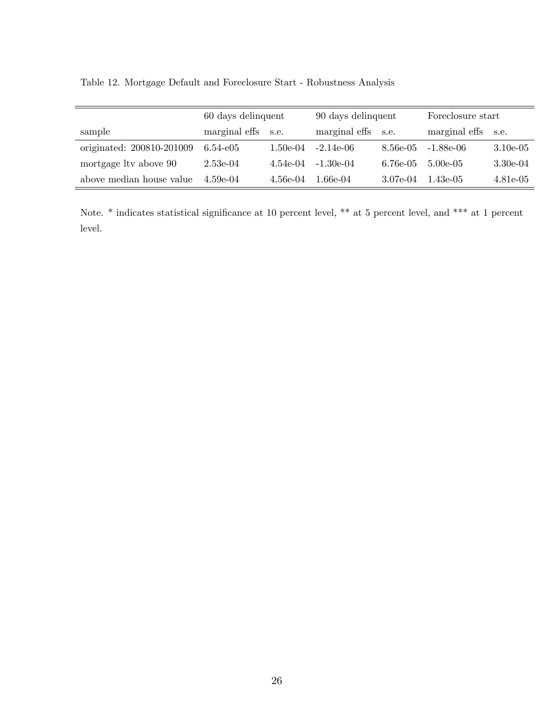Table 12. Mortgage Default and Foreclosure Start - Robustness Analysis

|                           | 60 days delinquent |          | 90 days delinquent |          | Foreclosure start  |            |
|---------------------------|--------------------|----------|--------------------|----------|--------------------|------------|
| sample                    | marginal effs s.e. |          | marginal effs s.e. |          | marginal effs s.e. |            |
| originated: 200810-201009 | $6.54 - e05$       | 1.50e-04 | $-2.14e-06$        | 8.56e-05 | -1.88e-06          | $3.10e-05$ |
| mortgage ltv above 90     | $2.53e-04$         | 4.54e-04 | $-1.30e-04$        | 6.76e-05 | $5.00e-0.5$        | $3.30e-04$ |
| above median house value  | $4.59e-04$         | 4.56e-04 | 1.66e-04           | 3.07e-04 | $1.43e-05$         | $4.81e-05$ |

Note. \* indicates statistical significance at 10 percent level, \*\* at 5 percent level, and \*\*\* at 1 percent level.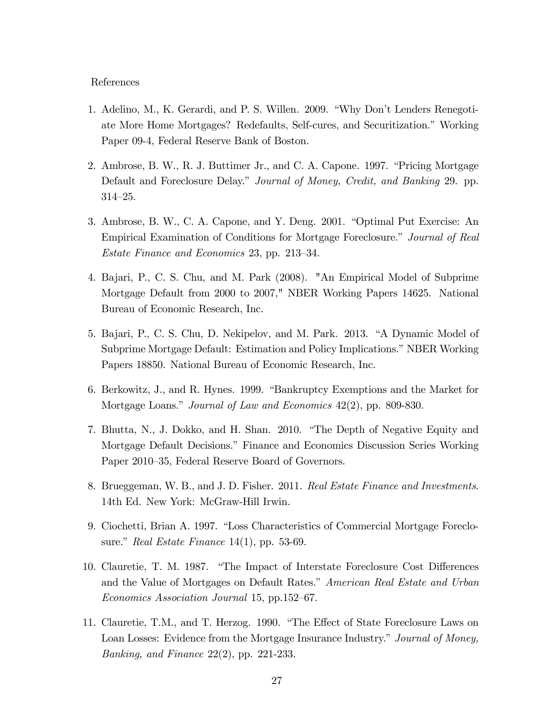#### References

- 1. Adelino, M., K. Gerardi, and P. S. Willen. 2009. "Why Don't Lenders Renegotiate More Home Mortgages? Redefaults, Self-cures, and Securitization." Working Paper 09-4, Federal Reserve Bank of Boston.
- 2. Ambrose, B. W., R. J. Buttimer Jr., and C. A. Capone. 1997. "Pricing Mortgage Default and Foreclosure Delay." Journal of Money, Credit, and Banking 29. pp. 314-25.
- 3. Ambrose, B. W., C. A. Capone, and Y. Deng. 2001. "Optimal Put Exercise: An Empirical Examination of Conditions for Mortgage Foreclosure." Journal of Real Estate Finance and Economics 23, pp. 213–34.
- 4. Bajari, P., C. S. Chu, and M. Park (2008). "An Empirical Model of Subprime Mortgage Default from 2000 to 2007," NBER Working Papers 14625. National Bureau of Economic Research, Inc.
- 5. Bajari, P., C. S. Chu, D. Nekipelov, and M. Park. 2013. "A Dynamic Model of Subprime Mortgage Default: Estimation and Policy Implications." NBER Working Papers 18850. National Bureau of Economic Research, Inc.
- 6. Berkowitz, J., and R. Hynes. 1999. "Bankruptcy Exemptions and the Market for Mortgage Loans." Journal of Law and Economics 42(2), pp. 809-830.
- 7. Bhutta, N., J. Dokko, and H. Shan. 2010. "The Depth of Negative Equity and Mortgage Default Decisions.î Finance and Economics Discussion Series Working Paper 2010–35, Federal Reserve Board of Governors.
- 8. Brueggeman, W. B., and J. D. Fisher. 2011. Real Estate Finance and Investments. 14th Ed. New York: McGraw-Hill Irwin.
- 9. Ciochetti, Brian A. 1997. "Loss Characteristics of Commercial Mortgage Foreclosure." Real Estate Finance  $14(1)$ , pp. 53-69.
- 10. Clauretie, T. M. 1987. "The Impact of Interstate Foreclosure Cost Differences and the Value of Mortgages on Default Rates." American Real Estate and Urban Economics Association Journal 15, pp.152–67.
- 11. Clauretie, T.M., and T. Herzog. 1990. "The Effect of State Foreclosure Laws on Loan Losses: Evidence from the Mortgage Insurance Industry." Journal of Money, Banking, and Finance 22(2), pp. 221-233.